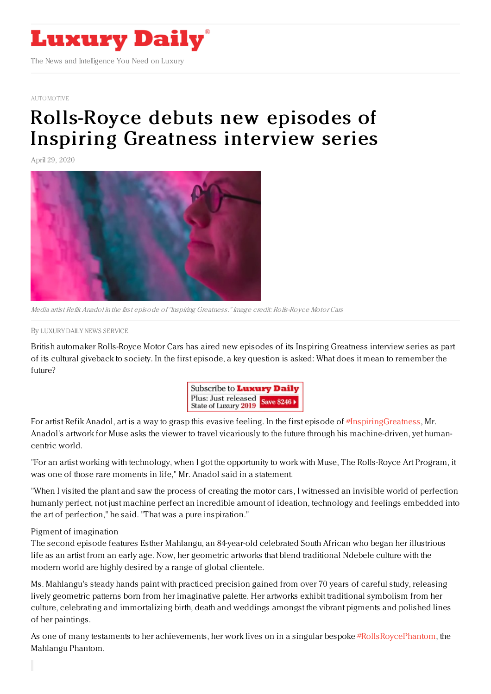

[AUTOMOTIVE](https://www.luxurydaily.com/category/sectors/automotive-industry-sectors/)

## [Rolls-Royce](https://www.luxurydaily.com/rolls-royce-debuts-first-episode-of-inspiring-greatness-in-muse-art-program/) debuts new episodes of Inspiring Greatness interview series

April 29, 2020



Media artist Refik Anadol in the first episode of"Inspiring Greatness."Image credit: Rolls-Royce Motor Cars

By LUXURY DAILY NEWS [SERVICE](file:///author/luxury-daily-news-service)

British automaker Rolls-Royce Motor Cars has aired new episodes of its Inspiring Greatness interview series as part of its cultural giveback to society. In the first episode, a key question is asked: What does it mean to remember the future?



For artist Refik Anadol, art is a way to grasp this evasive feeling. In the first episode of [#InspiringGreatness](https://www.youtube.com/results?search_query=%2523InspiringGreatness), Mr. Anadol's artwork for Muse asks the viewer to travel vicariously to the future through his machine-driven, yet humancentric world.

"For an artist working with technology, when I got the opportunity to work with Muse, The Rolls-Royce Art Program, it was one of those rare moments in life," Mr. Anadol said in a statement.

"When I visited the plant and saw the process of creating the motor cars, I witnessed an invisible world of perfection humanly perfect, not just machine perfect an incredible amount of ideation, technology and feelings embedded into the art of perfection," he said. "That was a pure inspiration."

Pigment of imagination

The second episode features Esther Mahlangu, an 84-year-old celebrated South African who began her illustrious life as an artist from an early age. Now, her geometric artworks that blend traditional Ndebele culture with the modern world are highly desired by a range of global clientele.

Ms. Mahlangu's steady hands paint with practiced precision gained from over 70 years of careful study, releasing lively geometric patterns born from her imaginative palette. Her artworks exhibit traditional symbolism from her culture, celebrating and immortalizing birth, death and weddings amongst the vibrant pigments and polished lines of her paintings.

As one of many testaments to her achievements, her work lives on in a singular bespoke [#RollsRoycePhantom](https://www.instagram.com/explore/tags/rollsroycephantom/), the Mahlangu Phantom.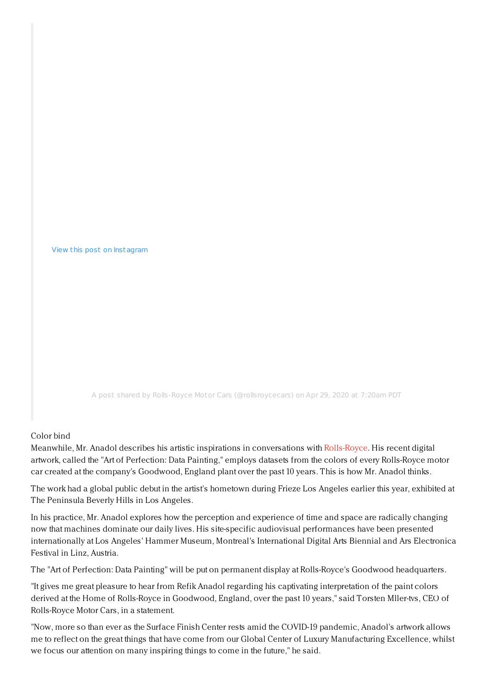

A post shared by Rolls-Royce Motor Cars [\(@rollsroycecars\)](https://www.instagram.com/tv/B_kV-OwpcI8/?utm_source=ig_embed&utm_campaign=loading) on Apr 29, 2020 at 7:20am PDT

## Color bind

Meanwhile, Mr. Anadol describes his artistic inspirations in conversations with [Rolls-Royce](https://www.rolls-roycemotorcars.com/en_GB/inspiring-greatness/values/inspiring-greatness-series.html?utm_source=&utm_medium=social&utm_content=FriApr29&utm_campaign=Refik%20Part%201). His recent digital artwork, called the "Art of Perfection: Data Painting," employs datasets from the colors of every Rolls-Royce motor car created at the company's Goodwood, England plant over the past 10 years. This is how Mr. Anadol thinks.

The work had a global public debut in the artist's hometown during Frieze Los Angeles earlier this year, exhibited at The Peninsula Beverly Hills in Los Angeles.

In his practice, Mr. Anadol explores how the perception and experience of time and space are radically changing now that machines dominate our daily lives. His site-specific audiovisual performances have been presented internationally at Los Angeles' Hammer Museum, Montreal's International Digital Arts Biennial and Ars Electronica Festival in Linz, Austria.

The "Art of Perfection: Data Painting" will be put on permanent display at Rolls-Royce's Goodwood headquarters.

"It gives me great pleasure to hear from Refik Anadol regarding his captivating interpretation of the paint colors derived at the Home of Rolls-Royce in Goodwood, England, over the past 10 years," said Torsten Mller-tvs, CEO of Rolls-Royce Motor Cars, in a statement.

"Now, more so than ever as the Surface Finish Center rests amid the COVID-19 pandemic, Anadol's artwork allows me to reflect on the great things that have come from our Global Center of Luxury Manufacturing Excellence, whilst we focus our attention on many inspiring things to come in the future," he said.